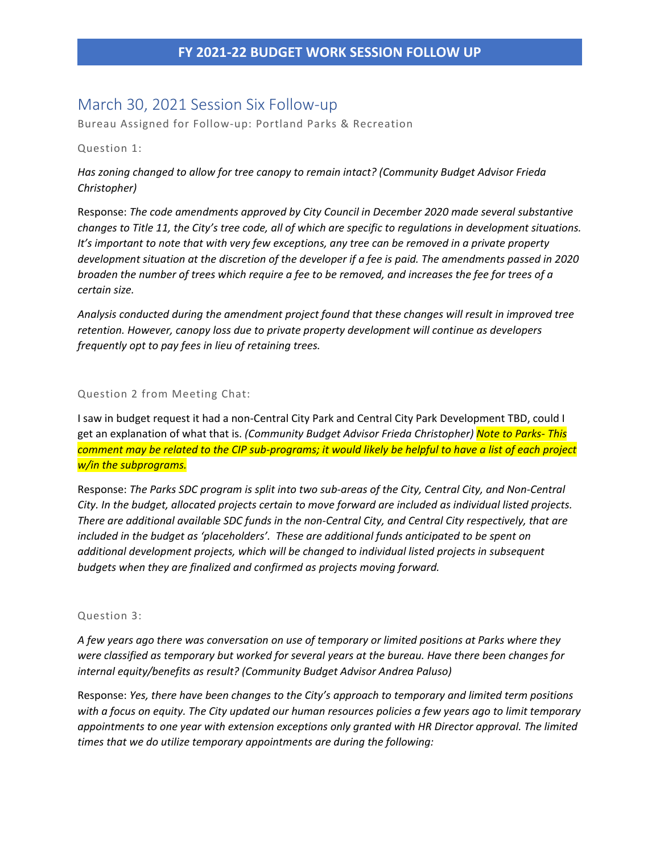# March 30, 2021 Session Six Follow-up

Bureau Assigned for Follow-up: Portland Parks & Recreation

#### Question 1:

*Has zoning changed to allow for tree canopy to remain intact? (Community Budget Advisor Frieda Christopher)*

Response: *The code amendments approved by City Council in December 2020 made several substantive changes to Title 11, the City's tree code, all of which are specific to regulations in development situations. It's important to note that with very few exceptions, any tree can be removed in a private property development situation at the discretion of the developer if a fee is paid. The amendments passed in 2020 broaden the number of trees which require a fee to be removed, and increases the fee for trees of a certain size.*

*Analysis conducted during the amendment project found that these changes will result in improved tree retention. However, canopy loss due to private property development will continue as developers frequently opt to pay fees in lieu of retaining trees.*

### Question 2 from Meeting Chat:

I saw in budget request it had a non-Central City Park and Central City Park Development TBD, could I get an explanation of what that is. *(Community Budget Advisor Frieda Christopher) Note to Parks- This comment may be related to the CIP sub-programs; it would likely be helpful to have a list of each project w/in the subprograms.*

Response: *The Parks SDC program is split into two sub-areas of the City, Central City, and Non-Central City. In the budget, allocated projects certain to move forward are included as individual listed projects. There are additional available SDC funds in the non-Central City, and Central City respectively, that are included in the budget as 'placeholders'. These are additional funds anticipated to be spent on additional development projects, which will be changed to individual listed projects in subsequent budgets when they are finalized and confirmed as projects moving forward.*

### Question 3:

*A few years ago there was conversation on use of temporary or limited positions at Parks where they were classified as temporary but worked for several years at the bureau. Have there been changes for internal equity/benefits as result? (Community Budget Advisor Andrea Paluso)* 

Response: *Yes, there have been changes to the City's approach to temporary and limited term positions with a focus on equity. The City updated our human resources policies a few years ago to limit temporary appointments to one year with extension exceptions only granted with HR Director approval. The limited times that we do utilize temporary appointments are during the following:*